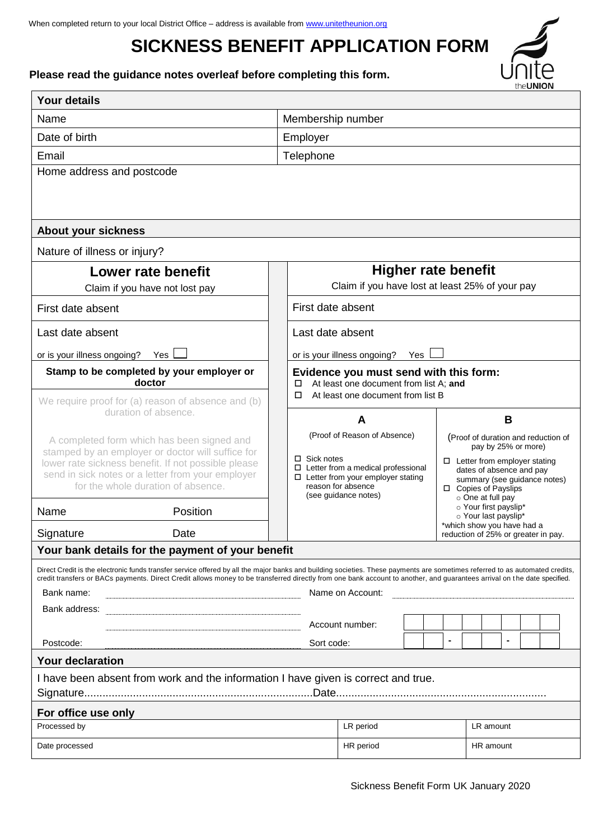# **SICKNESS BENEFIT APPLICATION FORM**

**Please read the guidance notes overleaf before completing this form.**

| <b>Your details</b>                                                                                                                                                                                                                                                                                                                                                                                                                                                                                                                                       |                                                                                                                                                                                                                                                                                                                                                                                                        |  |  |
|-----------------------------------------------------------------------------------------------------------------------------------------------------------------------------------------------------------------------------------------------------------------------------------------------------------------------------------------------------------------------------------------------------------------------------------------------------------------------------------------------------------------------------------------------------------|--------------------------------------------------------------------------------------------------------------------------------------------------------------------------------------------------------------------------------------------------------------------------------------------------------------------------------------------------------------------------------------------------------|--|--|
| Name                                                                                                                                                                                                                                                                                                                                                                                                                                                                                                                                                      | Membership number                                                                                                                                                                                                                                                                                                                                                                                      |  |  |
| Date of birth                                                                                                                                                                                                                                                                                                                                                                                                                                                                                                                                             | Employer                                                                                                                                                                                                                                                                                                                                                                                               |  |  |
| Email                                                                                                                                                                                                                                                                                                                                                                                                                                                                                                                                                     | Telephone                                                                                                                                                                                                                                                                                                                                                                                              |  |  |
| Home address and postcode                                                                                                                                                                                                                                                                                                                                                                                                                                                                                                                                 |                                                                                                                                                                                                                                                                                                                                                                                                        |  |  |
| <b>About your sickness</b>                                                                                                                                                                                                                                                                                                                                                                                                                                                                                                                                |                                                                                                                                                                                                                                                                                                                                                                                                        |  |  |
| Nature of illness or injury?                                                                                                                                                                                                                                                                                                                                                                                                                                                                                                                              |                                                                                                                                                                                                                                                                                                                                                                                                        |  |  |
| Lower rate benefit<br>Claim if you have not lost pay                                                                                                                                                                                                                                                                                                                                                                                                                                                                                                      | <b>Higher rate benefit</b><br>Claim if you have lost at least 25% of your pay                                                                                                                                                                                                                                                                                                                          |  |  |
| First date absent                                                                                                                                                                                                                                                                                                                                                                                                                                                                                                                                         | First date absent                                                                                                                                                                                                                                                                                                                                                                                      |  |  |
| Last date absent                                                                                                                                                                                                                                                                                                                                                                                                                                                                                                                                          | Last date absent                                                                                                                                                                                                                                                                                                                                                                                       |  |  |
| or is your illness ongoing?<br>Yes                                                                                                                                                                                                                                                                                                                                                                                                                                                                                                                        | or is your illness ongoing?<br>Yes                                                                                                                                                                                                                                                                                                                                                                     |  |  |
| Stamp to be completed by your employer or<br>doctor                                                                                                                                                                                                                                                                                                                                                                                                                                                                                                       | Evidence you must send with this form:<br>At least one document from list A; and<br>$\Box$                                                                                                                                                                                                                                                                                                             |  |  |
| We require proof for (a) reason of absence and (b)<br>duration of absence.                                                                                                                                                                                                                                                                                                                                                                                                                                                                                | At least one document from list B<br>□<br>B<br>A                                                                                                                                                                                                                                                                                                                                                       |  |  |
| A completed form which has been signed and<br>stamped by an employer or doctor will suffice for<br>lower rate sickness benefit. If not possible please<br>send in sick notes or a letter from your employer<br>for the whole duration of absence.                                                                                                                                                                                                                                                                                                         | (Proof of Reason of Absence)<br>(Proof of duration and reduction of<br>pay by 25% or more)<br>$\Box$ Sick notes<br>$\Box$ Letter from employer stating<br>$\Box$ Letter from a medical professional<br>dates of absence and pay<br>$\Box$ Letter from your employer stating<br>summary (see guidance notes)<br>reason for absence<br>□ Copies of Payslips<br>(see guidance notes)<br>o One at full pay |  |  |
| Position<br>Name                                                                                                                                                                                                                                                                                                                                                                                                                                                                                                                                          | o Your first payslip*<br>o Your last payslip*                                                                                                                                                                                                                                                                                                                                                          |  |  |
| Signature<br>Date                                                                                                                                                                                                                                                                                                                                                                                                                                                                                                                                         | *which show you have had a<br>reduction of 25% or greater in pay.                                                                                                                                                                                                                                                                                                                                      |  |  |
| Your bank details for the payment of your benefit                                                                                                                                                                                                                                                                                                                                                                                                                                                                                                         |                                                                                                                                                                                                                                                                                                                                                                                                        |  |  |
| Direct Credit is the electronic funds transfer service offered by all the major banks and building societies. These payments are sometimes referred to as automated credits,<br>credit transfers or BACs payments. Direct Credit allows money to be transferred directly from one bank account to another, and quarantees arrival on the date specified.<br>Name on Account:<br>Bank name:<br>Bank address: The Contract of the Contract of the Contract of the Contract of the Contract of the Contract of<br>Account number:<br>Postcode:<br>Sort code: |                                                                                                                                                                                                                                                                                                                                                                                                        |  |  |
| <b>Your declaration</b>                                                                                                                                                                                                                                                                                                                                                                                                                                                                                                                                   |                                                                                                                                                                                                                                                                                                                                                                                                        |  |  |
| I have been absent from work and the information I have given is correct and true.                                                                                                                                                                                                                                                                                                                                                                                                                                                                        |                                                                                                                                                                                                                                                                                                                                                                                                        |  |  |
| For office use only<br>Processed by                                                                                                                                                                                                                                                                                                                                                                                                                                                                                                                       | LR period<br>LR amount                                                                                                                                                                                                                                                                                                                                                                                 |  |  |
| Date processed                                                                                                                                                                                                                                                                                                                                                                                                                                                                                                                                            | HR period<br>HR amount                                                                                                                                                                                                                                                                                                                                                                                 |  |  |